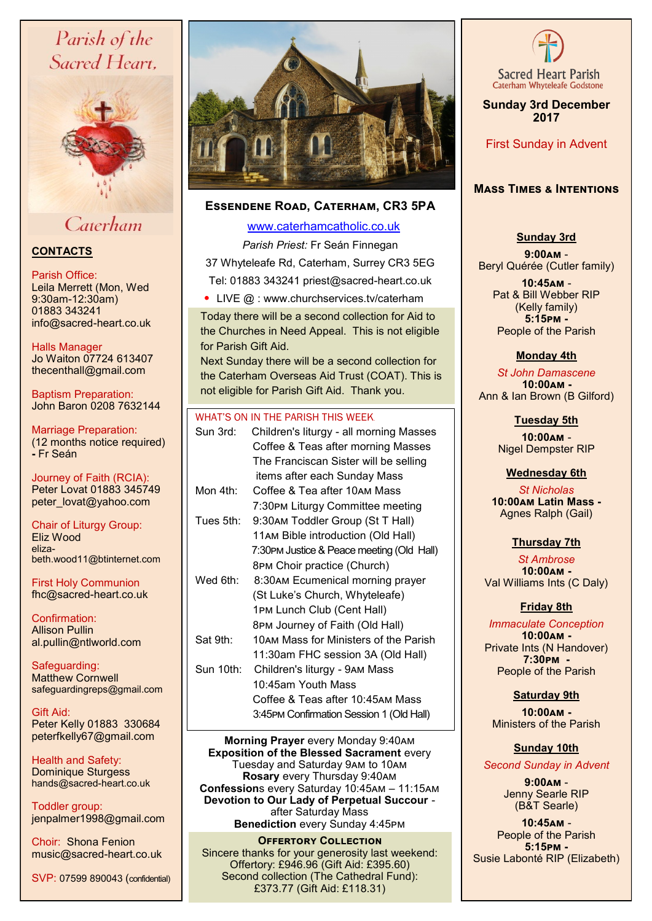# Parish of the Sacred Heart.



# Caterham

# **CONTACTS**

### Parish Office:

Leila Merrett (Mon, Wed 9:30am-12:30am) 01883 343241 info@sacred-heart.co.uk

Halls Manager Jo Waiton 07724 613407 thecenthall@gmail.com

Baptism Preparation: John Baron 0208 7632144

Marriage Preparation: (12 months notice required) **-** Fr Seán

Journey of Faith (RCIA): Peter Lovat 01883 345749 peter\_lovat@yahoo.com

Chair of Liturgy Group: Eliz Wood elizabeth.wood11@btinternet.com

First Holy Communion fhc@sacred-heart.co.uk

Confirmation: Allison Pullin al.pullin@ntlworld.com

Safeguarding: Matthew Cornwell safeguardingreps@gmail.com

Gift Aid: Peter Kelly 01883 330684 peterfkelly67@gmail.com

Health and Safety: Dominique Sturgess hands@sacred-heart.co.uk

Toddler group: jenpalmer1998@gmail.com

Choir: Shona Fenion music@sacred-heart.co.uk

SVP: 07599 890043 (confidential)



# **Essendene Road, Caterham, CR3 5PA**

# [www.caterhamcatholic.co.uk](http://Www.caterhamcatholic.co.uk)

*Parish Priest:* Fr Seán Finnegan 37 Whyteleafe Rd, Caterham, Surrey CR3 5EG Tel: 01883 343241 priest@sacred-heart.co.uk

• LIVE @ : www.churchservices.tv/caterham

Today there will be a second collection for Aid to the Churches in Need Appeal. This is not eligible for Parish Gift Aid.

Next Sunday there will be a second collection for the Caterham Overseas Aid Trust (COAT). This is not eligible for Parish Gift Aid. Thank you.

## WHAT'S ON IN THE PARISH THIS WEEK.

| Children's liturgy - all morning Masses    |
|--------------------------------------------|
| Coffee & Teas after morning Masses         |
| The Franciscan Sister will be selling      |
| items after each Sunday Mass               |
| Coffee & Tea after 10AM Mass               |
| 7:30PM Liturgy Committee meeting           |
| 9:30AM Toddler Group (St T Hall)           |
| 11AM Bible introduction (Old Hall)         |
| 7:30PM Justice & Peace meeting (Old Hall)  |
| 8PM Choir practice (Church)                |
| 8:30AM Ecumenical morning prayer           |
| (St Luke's Church, Whyteleafe)             |
| 1PM Lunch Club (Cent Hall)                 |
| 8PM Journey of Faith (Old Hall)            |
| 10AM Mass for Ministers of the Parish      |
| 11:30am FHC session 3A (Old Hall)          |
| Sun 10th:<br>Children's liturgy - 9AM Mass |
| 10:45am Youth Mass                         |
| Coffee & Teas after 10:45AM Mass           |
| 3:45PM Confirmation Session 1 (Old Hall)   |
|                                            |

**Morning Prayer** every Monday 9:40am **Exposition of the Blessed Sacrament** every Tuesday and Saturday 9am to 10am **Rosary** every Thursday 9:40am **Confession**s every Saturday 10:45am – 11:15am **Devotion to Our Lady of Perpetual Succour**  after Saturday Mass **Benediction** every Sunday 4:45pm

## **Offertory Collection**

Sincere thanks for your generosity last weekend: Offertory: £946.96 (Gift Aid: £395.60) Second collection (The Cathedral Fund): £373.77 (Gift Aid: £118.31)



**Sunday 3rd December 2017**

First Sunday in Advent

# **Mass Times & Intentions**

# **Sunday 3rd**

**9:00am** - Beryl Quérée (Cutler family)

> . **10:45am** - Pat & Bill Webber RIP (Kelly family) **5:15pm -** People of the Parish

# **Monday 4th**

*St John Damascene* .**10:00am -** Ann & Ian Brown (B Gilford)

**Tuesday 5th** 

*.* **10:00am** - Nigel Dempster RIP

# **Wednesday 6th**

*St Nicholas* **10:00am Latin Mass -** Agnes Ralph (Gail)

# **Thursday 7th**

. *St Ambrose*  **10:00am -** Val Williams Ints (C Daly)

# **Friday 8th**

. *Immaculate Conception* **10:00am -** Private Ints (N Handover) **7:30pm -**  People of the Parish

# **Saturday 9th**

**10:00am -**  Ministers of the Parish

# **Sunday 10th**

*Second Sunday in Advent*

**9:00am** - Jenny Searle RIP (B&T Searle)

**10:45am** - People of the Parish **5:15pm -** Susie Labonté RIP (Elizabeth)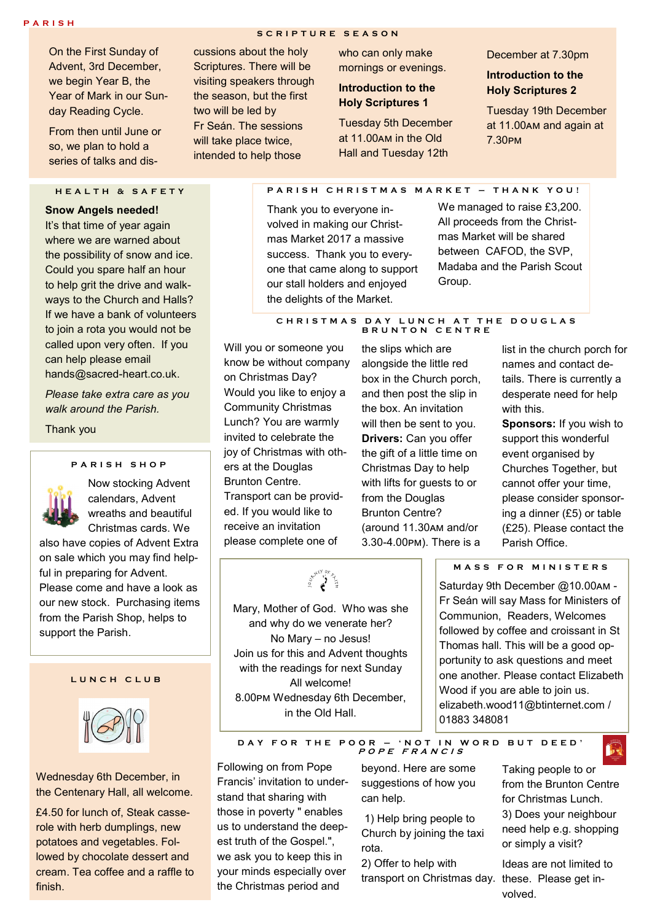On the First Sunday of Advent, 3rd December, we begin Year B, the Year of Mark in our Sunday Reading Cycle.

From then until June or so, we plan to hold a series of talks and dis-

# **H E A L T H & S A F E T Y**

**Snow Angels needed!** It's that time of year again where we are warned about the possibility of snow and ice. Could you spare half an hour to help grit the drive and walkways to the Church and Halls? If we have a bank of volunteers to join a rota you would not be called upon very often. If you can help please email hands@sacred-heart.co.uk.

*Please take extra care as you walk around the Parish.*

Thank you

#### **P A R I S H S H O P**



Now stocking Advent calendars, Advent wreaths and beautiful Christmas cards. We

also have copies of Advent Extra on sale which you may find helpful in preparing for Advent. Please come and have a look as our new stock. Purchasing items from the Parish Shop, helps to support the Parish.

### **L U N C H C L U B**



Wednesday 6th December, in the Centenary Hall, all welcome.

£4.50 for lunch of, Steak casserole with herb dumplings, new potatoes and vegetables. Followed by chocolate dessert and cream. Tea coffee and a raffle to finish.

# **S C R I P T U R E S E A S O N**

cussions about the holy Scriptures. There will be visiting speakers through the season, but the first two will be led by Fr Seán. The sessions will take place twice. intended to help those

who can only make mornings or evenings.

### **Introduction to the Holy Scriptures 1**

Tuesday 5th December at 11.00am in the Old Hall and Tuesday 12th

#### December at 7.30pm

**Introduction to the Holy Scriptures 2**

Tuesday 19th December at 11.00am and again at 7.30pm

**P A R I S H C H R I S T M A S M A R K E T – T H A N K Y O U !**

Thank you to everyone involved in making our Christmas Market 2017 a massive success. Thank you to everyone that came along to support our stall holders and enjoyed the delights of the Market.

We managed to raise £3,200. All proceeds from the Christmas Market will be shared between CAFOD, the SVP, Madaba and the Parish Scout Group.

#### **C H R I S T M A S D A Y L U N C H A T T H E D O U G L A S B R U N T O N C E N T R E**

Will you or someone you know be without company on Christmas Day? Would you like to enjoy a Community Christmas Lunch? You are warmly invited to celebrate the joy of Christmas with others at the Douglas Brunton Centre. Transport can be provided. If you would like to receive an invitation please complete one of

the slips which are alongside the little red box in the Church porch, and then post the slip in the box. An invitation will then be sent to you. **Drivers:** Can you offer the gift of a little time on Christmas Day to help with lifts for guests to or from the Douglas Brunton Centre? (around 11.30am and/or 3.30-4.00pm). There is a

list in the church porch for names and contact details. There is currently a desperate need for help with this.

**Sponsors:** If you wish to support this wonderful event organised by Churches Together, but cannot offer your time, please consider sponsoring a dinner (£5) or table (£25). Please contact the Parish Office.

**M A S S F O R M I N I S T E R S**  Saturday 9th December @10.00am - Fr Seán will say Mass for Ministers of Communion, Readers, Welcomes followed by coffee and croissant in St Thomas hall. This will be a good opportunity to ask questions and meet one another. Please contact Elizabeth Wood if you are able to join us. elizabeth.wood11@btinternet.com / 01883 348081

**D A Y F O R T H E P O O R – ' N O T I N W O R D B U T D E E D ' <sup>P</sup> <sup>O</sup> <sup>P</sup> E <sup>F</sup> <sup>R</sup> <sup>A</sup> <sup>N</sup> <sup>C</sup> <sup>I</sup> <sup>S</sup>**

Following on from Pope Francis' invitation to understand that sharing with those in poverty " enables us to understand the deepest truth of the Gospel.", we ask you to keep this in your minds especially over the Christmas period and

beyond. Here are some suggestions of how you can help.

1) Help bring people to Church by joining the taxi rota.

transport on Christmas day. these. Please get in-2) Offer to help with

Taking people to or from the Brunton Centre for Christmas Lunch. 3) Does your neighbour need help e.g. shopping or simply a visit?

Ê

Ideas are not limited to volved.

**Sexer of 4** 

Mary, Mother of God. Who was she and why do we venerate her? No Mary – no Jesus! Join us for this and Advent thoughts with the readings for next Sunday All welcome! 8.00pm Wednesday 6th December, in the Old Hall.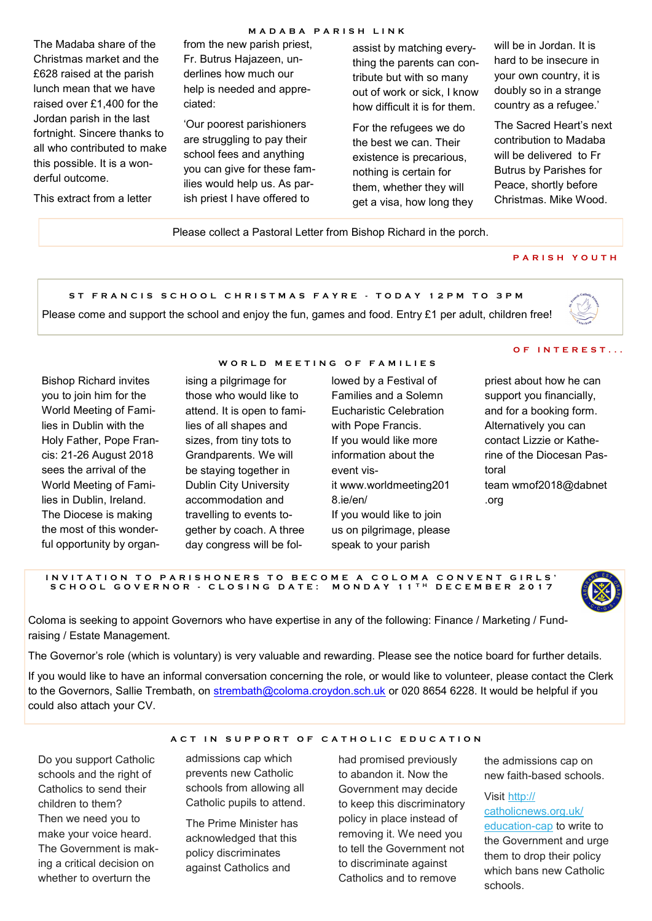### **MADABA PARISH LINK**

The Madaba share of the Christmas market and the £628 raised at the parish lunch mean that we have raised over £1,400 for the Jordan parish in the last fortnight. Sincere thanks to all who contributed to make this possible. It is a wonderful outcome.

This extract from a letter

from the new parish priest, Fr. Butrus Hajazeen, underlines how much our help is needed and appreciated:

'Our poorest parishioners are struggling to pay their school fees and anything you can give for these families would help us. As parish priest I have offered to

assist by matching everything the parents can contribute but with so many out of work or sick, I know how difficult it is for them.

For the refugees we do the best we can. Their existence is precarious, nothing is certain for them, whether they will get a visa, how long they will be in Jordan. It is hard to be insecure in your own country, it is doubly so in a strange country as a refugee.'

The Sacred Heart's next contribution to Madaba will be delivered to Fr Butrus by Parishes for Peace, shortly before Christmas. Mike Wood.

Please collect a Pastoral Letter from Bishop Richard in the porch.

### **P A R I S H Y O U T H**

**S T F R A N C I S S C H O O L C H R I S T M A S F A Y R E - T O D A Y 1 2 P M T O 3 P M**

Please come and support the school and enjoy the fun, games and food. Entry £1 per adult, children free!



Bishop Richard invites you to join him for the World Meeting of Families in Dublin with the Holy Father, Pope Francis: 21-26 August 2018 sees the arrival of the World Meeting of Families in Dublin, Ireland. The Diocese is making the most of this wonderful opportunity by organ-

#### **W O R L D M E E T I N G O F F A M I L I E S**

ising a pilgrimage for those who would like to attend. It is open to families of all shapes and sizes, from tiny tots to Grandparents. We will be staying together in Dublin City University accommodation and travelling to events together by coach. A three day congress will be fol-

# lowed by a Festival of Families and a Solemn

Eucharistic Celebration with Pope Francis. If you would like more information about the event visit www.worldmeeting201 8.ie/en/ If you would like to join us on pilgrimage, please speak to your parish

### **O F I N T E R E S T . . .**

priest about how he can support you financially, and for a booking form. Alternatively you can contact Lizzie or Katherine of the Diocesan Pastoral team wmof2018@dabnet .org

#### IN VITATION TO PARISHONERS TO BECOME A COLOMA CONVENT GIRLS' **S C H O O L G O V E R N O R - C L O S I N G D A T E : M O N D A Y 1 1 T H D E C E M B E R 2 0 1 7**



Coloma is seeking to appoint Governors who have expertise in any of the following: Finance / Marketing / Fundraising / Estate Management.

The Governor's role (which is voluntary) is very valuable and rewarding. Please see the notice board for further details.

If you would like to have an informal conversation concerning the role, or would like to volunteer, please contact the Clerk to the Governors, Sallie Trembath, on [strembath@coloma.croydon.sch.uk](mailto:strembath@coloma.croydon.sch.uk) or 020 8654 6228. It would be helpful if you could also attach your CV.

A C T IN SUPPORT OF CATHOLIC EDUCATION

Do you support Catholic schools and the right of Catholics to send their children to them? Then we need you to make your voice heard. The Government is making a critical decision on whether to overturn the

admissions cap which prevents new Catholic schools from allowing all

Catholic pupils to attend. The Prime Minister has acknowledged that this policy discriminates against Catholics and

had promised previously to abandon it. Now the Government may decide to keep this discriminatory policy in place instead of removing it. We need you to tell the Government not to discriminate against Catholics and to remove

the admissions cap on new faith-based schools.

Visit [http://](https://catholicnews.us6.list-manage.com/track/click?u=8bfb372c271fbad8a971552fb&id=d27e53fb78&e=200923ed69) [catholicnews.org.uk/](https://catholicnews.us6.list-manage.com/track/click?u=8bfb372c271fbad8a971552fb&id=d27e53fb78&e=200923ed69) [education](https://catholicnews.us6.list-manage.com/track/click?u=8bfb372c271fbad8a971552fb&id=d27e53fb78&e=200923ed69)-cap to write to the Government and urge them to drop their policy which bans new Catholic schools.